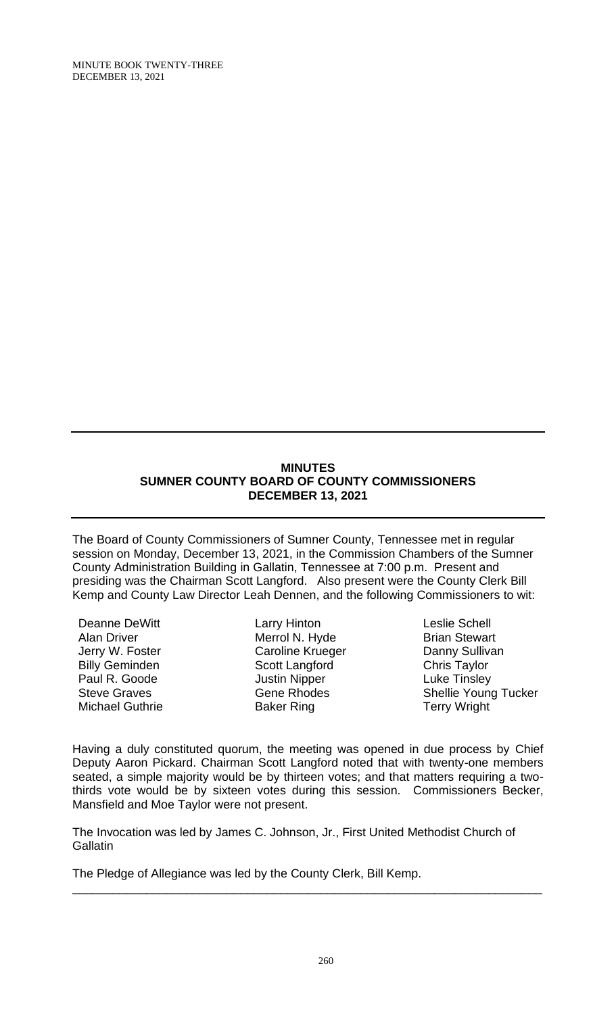MINUTE BOOK TWENTY-THREE DECEMBER 13, 2021

#### **MINUTES SUMNER COUNTY BOARD OF COUNTY COMMISSIONERS DECEMBER 13, 2021**

The Board of County Commissioners of Sumner County, Tennessee met in regular session on Monday, December 13, 2021, in the Commission Chambers of the Sumner County Administration Building in Gallatin, Tennessee at 7:00 p.m. Present and presiding was the Chairman Scott Langford. Also present were the County Clerk Bill Kemp and County Law Director Leah Dennen, and the following Commissioners to wit:

Deanne DeWitt Alan Driver Jerry W. Foster Billy Geminden Paul R. Goode Steve Graves Michael Guthrie

Larry Hinton Merrol N. Hyde Caroline Krueger Scott Langford Justin Nipper Gene Rhodes Baker Ring

Leslie Schell Brian Stewart Danny Sullivan Chris Taylor Luke Tinsley Shellie Young Tucker Terry Wright

Having a duly constituted quorum, the meeting was opened in due process by Chief Deputy Aaron Pickard. Chairman Scott Langford noted that with twenty-one members seated, a simple majority would be by thirteen votes; and that matters requiring a twothirds vote would be by sixteen votes during this session. Commissioners Becker, Mansfield and Moe Taylor were not present.

The Invocation was led by James C. Johnson, Jr., First United Methodist Church of **Gallatin** 

\_\_\_\_\_\_\_\_\_\_\_\_\_\_\_\_\_\_\_\_\_\_\_\_\_\_\_\_\_\_\_\_\_\_\_\_\_\_\_\_\_\_\_\_\_\_\_\_\_\_\_\_\_\_\_\_\_\_\_\_\_\_\_\_\_\_\_\_\_\_

The Pledge of Allegiance was led by the County Clerk, Bill Kemp.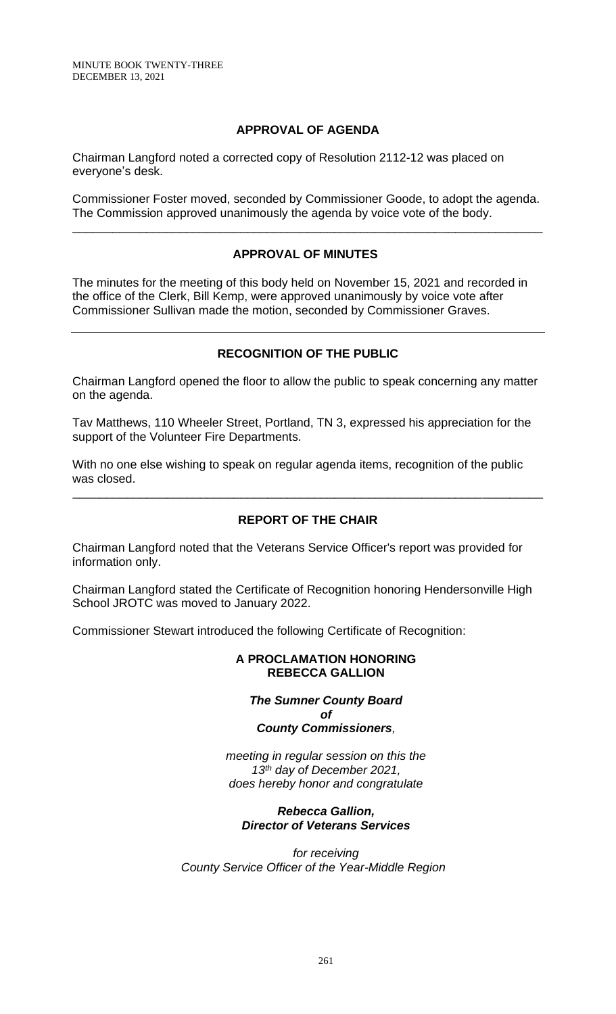MINUTE BOOK TWENTY-THREE DECEMBER 13, 2021

# **APPROVAL OF AGENDA**

Chairman Langford noted a corrected copy of Resolution 2112-12 was placed on everyone's desk.

Commissioner Foster moved, seconded by Commissioner Goode, to adopt the agenda. The Commission approved unanimously the agenda by voice vote of the body.

\_\_\_\_\_\_\_\_\_\_\_\_\_\_\_\_\_\_\_\_\_\_\_\_\_\_\_\_\_\_\_\_\_\_\_\_\_\_\_\_\_\_\_\_\_\_\_\_\_\_\_\_\_\_\_\_\_\_\_\_\_\_\_\_\_\_\_\_\_\_

# **APPROVAL OF MINUTES**

The minutes for the meeting of this body held on November 15, 2021 and recorded in the office of the Clerk, Bill Kemp, were approved unanimously by voice vote after Commissioner Sullivan made the motion, seconded by Commissioner Graves.

# **RECOGNITION OF THE PUBLIC**

Chairman Langford opened the floor to allow the public to speak concerning any matter on the agenda.

Tav Matthews, 110 Wheeler Street, Portland, TN 3, expressed his appreciation for the support of the Volunteer Fire Departments.

With no one else wishing to speak on regular agenda items, recognition of the public was closed.

# **REPORT OF THE CHAIR**

\_\_\_\_\_\_\_\_\_\_\_\_\_\_\_\_\_\_\_\_\_\_\_\_\_\_\_\_\_\_\_\_\_\_\_\_\_\_\_\_\_\_\_\_\_\_\_\_\_\_\_\_\_\_\_\_\_\_\_\_\_\_\_\_\_\_\_\_\_\_

Chairman Langford noted that the Veterans Service Officer's report was provided for information only.

Chairman Langford stated the Certificate of Recognition honoring Hendersonville High School JROTC was moved to January 2022.

Commissioner Stewart introduced the following Certificate of Recognition:

### **A PROCLAMATION HONORING REBECCA GALLION**

### *The Sumner County Board of County Commissioners,*

*meeting in regular session on this the 13 th day of December 2021,*

*does hereby honor and congratulate*

### *Rebecca Gallion, Director of Veterans Services*

*for receiving County Service Officer of the Year-Middle Region*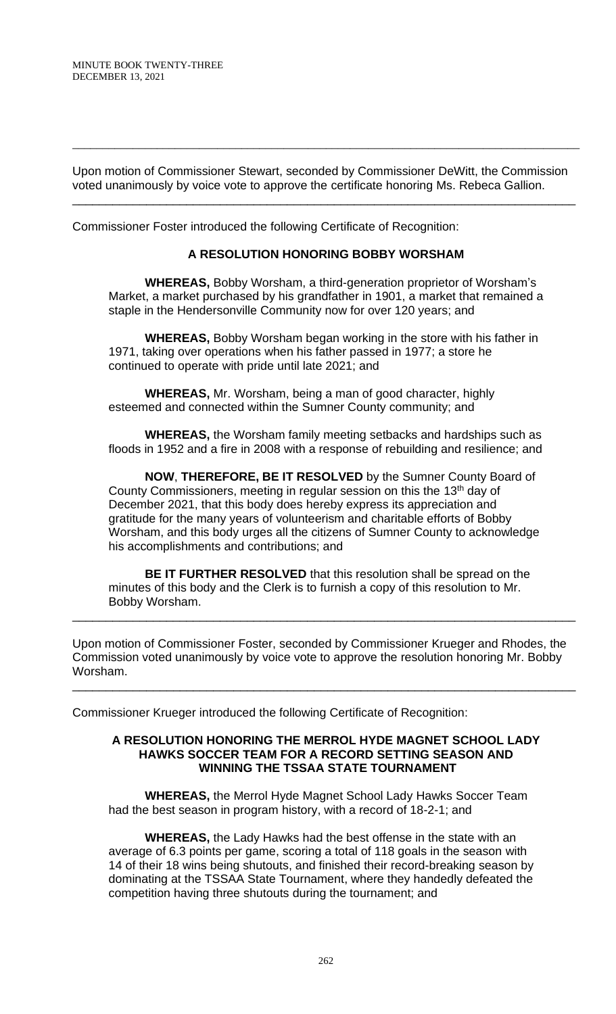Upon motion of Commissioner Stewart, seconded by Commissioner DeWitt, the Commission voted unanimously by voice vote to approve the certificate honoring Ms. Rebeca Gallion.

\_\_\_\_\_\_\_\_\_\_\_\_\_\_\_\_\_\_\_\_\_\_\_\_\_\_\_\_\_\_\_\_\_\_\_\_\_\_\_\_\_\_\_\_\_\_\_\_\_\_\_\_\_\_\_\_\_\_\_\_\_\_\_\_\_\_\_\_\_\_\_\_\_\_\_

\_\_\_\_\_\_\_\_\_\_\_\_\_\_\_\_\_\_\_\_\_\_\_\_\_\_\_\_\_\_\_\_\_\_\_\_\_\_\_\_\_\_\_\_\_\_\_\_\_\_\_\_\_\_\_\_\_\_\_\_\_\_\_\_\_\_\_\_\_\_\_\_\_\_\_\_\_\_\_\_\_\_\_\_

Commissioner Foster introduced the following Certificate of Recognition:

# **A RESOLUTION HONORING BOBBY WORSHAM**

**WHEREAS,** Bobby Worsham, a third-generation proprietor of Worsham's Market, a market purchased by his grandfather in 1901, a market that remained a staple in the Hendersonville Community now for over 120 years; and

**WHEREAS,** Bobby Worsham began working in the store with his father in 1971, taking over operations when his father passed in 1977; a store he continued to operate with pride until late 2021; and

**WHEREAS,** Mr. Worsham, being a man of good character, highly esteemed and connected within the Sumner County community; and

**WHEREAS,** the Worsham family meeting setbacks and hardships such as floods in 1952 and a fire in 2008 with a response of rebuilding and resilience; and

**NOW**, **THEREFORE, BE IT RESOLVED** by the Sumner County Board of County Commissioners, meeting in regular session on this the 13th day of December 2021, that this body does hereby express its appreciation and gratitude for the many years of volunteerism and charitable efforts of Bobby Worsham, and this body urges all the citizens of Sumner County to acknowledge his accomplishments and contributions; and

**BE IT FURTHER RESOLVED** that this resolution shall be spread on the minutes of this body and the Clerk is to furnish a copy of this resolution to Mr. Bobby Worsham.

\_\_\_\_\_\_\_\_\_\_\_\_\_\_\_\_\_\_\_\_\_\_\_\_\_\_\_\_\_\_\_\_\_\_\_\_\_\_\_\_\_\_\_\_\_\_\_\_\_\_\_\_\_\_\_\_\_\_\_\_\_\_\_\_\_\_\_\_\_\_\_\_\_\_\_

Upon motion of Commissioner Foster, seconded by Commissioner Krueger and Rhodes, the Commission voted unanimously by voice vote to approve the resolution honoring Mr. Bobby Worsham.

\_\_\_\_\_\_\_\_\_\_\_\_\_\_\_\_\_\_\_\_\_\_\_\_\_\_\_\_\_\_\_\_\_\_\_\_\_\_\_\_\_\_\_\_\_\_\_\_\_\_\_\_\_\_\_\_\_\_\_\_\_\_\_\_\_\_\_\_\_\_\_\_\_\_\_

Commissioner Krueger introduced the following Certificate of Recognition:

#### **A RESOLUTION HONORING THE MERROL HYDE MAGNET SCHOOL LADY HAWKS SOCCER TEAM FOR A RECORD SETTING SEASON AND WINNING THE TSSAA STATE TOURNAMENT**

**WHEREAS,** the Merrol Hyde Magnet School Lady Hawks Soccer Team had the best season in program history, with a record of 18-2-1; and

**WHEREAS,** the Lady Hawks had the best offense in the state with an average of 6.3 points per game, scoring a total of 118 goals in the season with 14 of their 18 wins being shutouts, and finished their record-breaking season by dominating at the TSSAA State Tournament, where they handedly defeated the competition having three shutouts during the tournament; and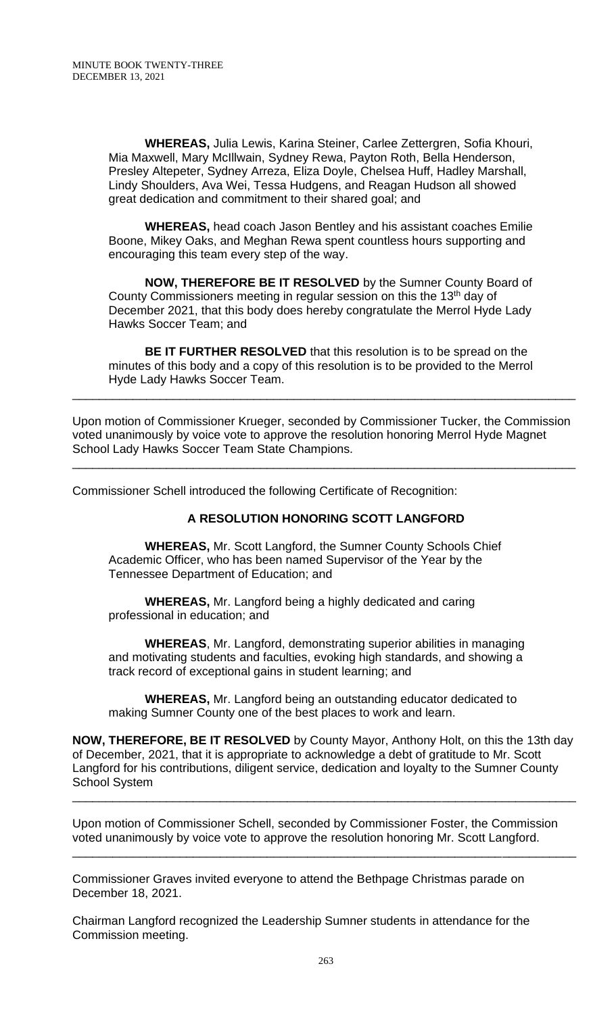**WHEREAS,** Julia Lewis, Karina Steiner, Carlee Zettergren, Sofia Khouri, Mia Maxwell, Mary McIllwain, Sydney Rewa, Payton Roth, Bella Henderson, Presley Altepeter, Sydney Arreza, Eliza Doyle, Chelsea Huff, Hadley Marshall, Lindy Shoulders, Ava Wei, Tessa Hudgens, and Reagan Hudson all showed great dedication and commitment to their shared goal; and

**WHEREAS,** head coach Jason Bentley and his assistant coaches Emilie Boone, Mikey Oaks, and Meghan Rewa spent countless hours supporting and encouraging this team every step of the way.

**NOW, THEREFORE BE IT RESOLVED** by the Sumner County Board of County Commissioners meeting in regular session on this the 13<sup>th</sup> day of December 2021, that this body does hereby congratulate the Merrol Hyde Lady Hawks Soccer Team; and

**BE IT FURTHER RESOLVED** that this resolution is to be spread on the minutes of this body and a copy of this resolution is to be provided to the Merrol Hyde Lady Hawks Soccer Team.

\_\_\_\_\_\_\_\_\_\_\_\_\_\_\_\_\_\_\_\_\_\_\_\_\_\_\_\_\_\_\_\_\_\_\_\_\_\_\_\_\_\_\_\_\_\_\_\_\_\_\_\_\_\_\_\_\_\_\_\_\_\_\_\_\_\_\_\_\_\_\_\_\_\_\_

Upon motion of Commissioner Krueger, seconded by Commissioner Tucker, the Commission voted unanimously by voice vote to approve the resolution honoring Merrol Hyde Magnet School Lady Hawks Soccer Team State Champions.

\_\_\_\_\_\_\_\_\_\_\_\_\_\_\_\_\_\_\_\_\_\_\_\_\_\_\_\_\_\_\_\_\_\_\_\_\_\_\_\_\_\_\_\_\_\_\_\_\_\_\_\_\_\_\_\_\_\_\_\_\_\_\_\_\_\_\_\_\_\_\_\_\_\_\_

Commissioner Schell introduced the following Certificate of Recognition:

# **A RESOLUTION HONORING SCOTT LANGFORD**

**WHEREAS,** Mr. Scott Langford, the Sumner County Schools Chief Academic Officer, who has been named Supervisor of the Year by the Tennessee Department of Education; and

**WHEREAS,** Mr. Langford being a highly dedicated and caring professional in education; and

**WHEREAS**, Mr. Langford, demonstrating superior abilities in managing and motivating students and faculties, evoking high standards, and showing a track record of exceptional gains in student learning; and

**WHEREAS,** Mr. Langford being an outstanding educator dedicated to making Sumner County one of the best places to work and learn.

**NOW, THEREFORE, BE IT RESOLVED** by County Mayor, Anthony Holt, on this the 13th day of December, 2021, that it is appropriate to acknowledge a debt of gratitude to Mr. Scott Langford for his contributions, diligent service, dedication and loyalty to the Sumner County School System

\_\_\_\_\_\_\_\_\_\_\_\_\_\_\_\_\_\_\_\_\_\_\_\_\_\_\_\_\_\_\_\_\_\_\_\_\_\_\_\_\_\_\_\_\_\_\_\_\_\_\_\_\_\_\_\_\_\_\_\_\_\_\_\_\_\_\_\_\_\_\_\_\_\_\_

\_\_\_\_\_\_\_\_\_\_\_\_\_\_\_\_\_\_\_\_\_\_\_\_\_\_\_\_\_\_\_\_\_\_\_\_\_\_\_\_\_\_\_\_\_\_\_\_\_\_\_\_\_\_\_\_\_\_\_\_\_\_\_\_\_\_\_\_\_\_\_\_\_\_\_

Upon motion of Commissioner Schell, seconded by Commissioner Foster, the Commission voted unanimously by voice vote to approve the resolution honoring Mr. Scott Langford.

Commissioner Graves invited everyone to attend the Bethpage Christmas parade on December 18, 2021.

Chairman Langford recognized the Leadership Sumner students in attendance for the Commission meeting.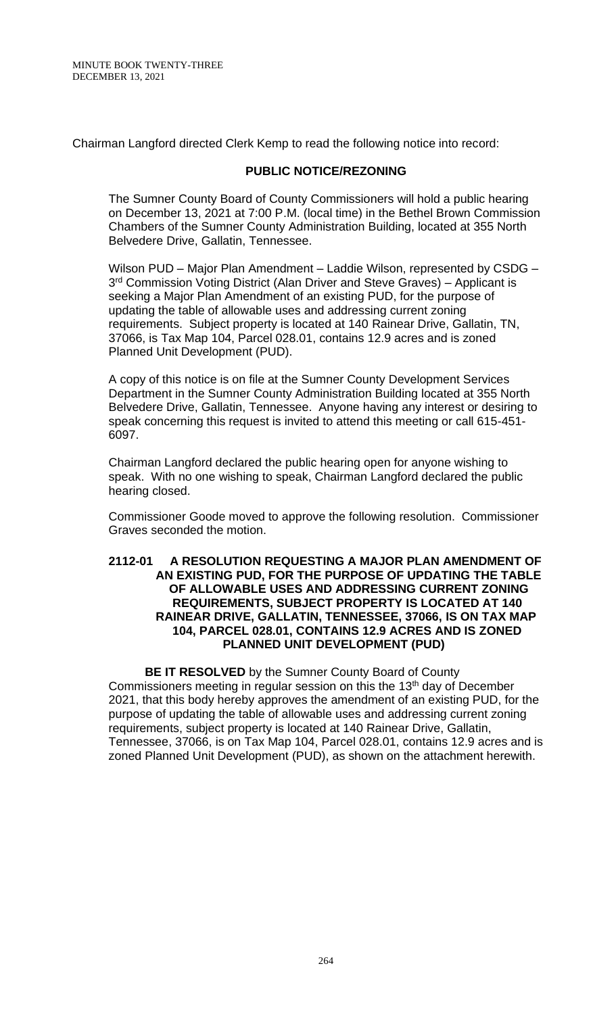Chairman Langford directed Clerk Kemp to read the following notice into record:

#### **PUBLIC NOTICE/REZONING**

The Sumner County Board of County Commissioners will hold a public hearing on December 13, 2021 at 7:00 P.M. (local time) in the Bethel Brown Commission Chambers of the Sumner County Administration Building, located at 355 North Belvedere Drive, Gallatin, Tennessee.

Wilson PUD – Major Plan Amendment – Laddie Wilson, represented by CSDG – 3<sup>rd</sup> Commission Voting District (Alan Driver and Steve Graves) – Applicant is seeking a Major Plan Amendment of an existing PUD, for the purpose of updating the table of allowable uses and addressing current zoning requirements. Subject property is located at 140 Rainear Drive, Gallatin, TN, 37066, is Tax Map 104, Parcel 028.01, contains 12.9 acres and is zoned Planned Unit Development (PUD).

A copy of this notice is on file at the Sumner County Development Services Department in the Sumner County Administration Building located at 355 North Belvedere Drive, Gallatin, Tennessee. Anyone having any interest or desiring to speak concerning this request is invited to attend this meeting or call 615-451- 6097.

Chairman Langford declared the public hearing open for anyone wishing to speak. With no one wishing to speak, Chairman Langford declared the public hearing closed.

Commissioner Goode moved to approve the following resolution. Commissioner Graves seconded the motion.

#### **2112-01 A RESOLUTION REQUESTING A MAJOR PLAN AMENDMENT OF AN EXISTING PUD, FOR THE PURPOSE OF UPDATING THE TABLE OF ALLOWABLE USES AND ADDRESSING CURRENT ZONING REQUIREMENTS, SUBJECT PROPERTY IS LOCATED AT 140 RAINEAR DRIVE, GALLATIN, TENNESSEE, 37066, IS ON TAX MAP 104, PARCEL 028.01, CONTAINS 12.9 ACRES AND IS ZONED PLANNED UNIT DEVELOPMENT (PUD)**

**BE IT RESOLVED** by the Sumner County Board of County Commissioners meeting in regular session on this the 13<sup>th</sup> day of December 2021, that this body hereby approves the amendment of an existing PUD, for the purpose of updating the table of allowable uses and addressing current zoning requirements, subject property is located at 140 Rainear Drive, Gallatin, Tennessee, 37066, is on Tax Map 104, Parcel 028.01, contains 12.9 acres and is zoned Planned Unit Development (PUD), as shown on the attachment herewith.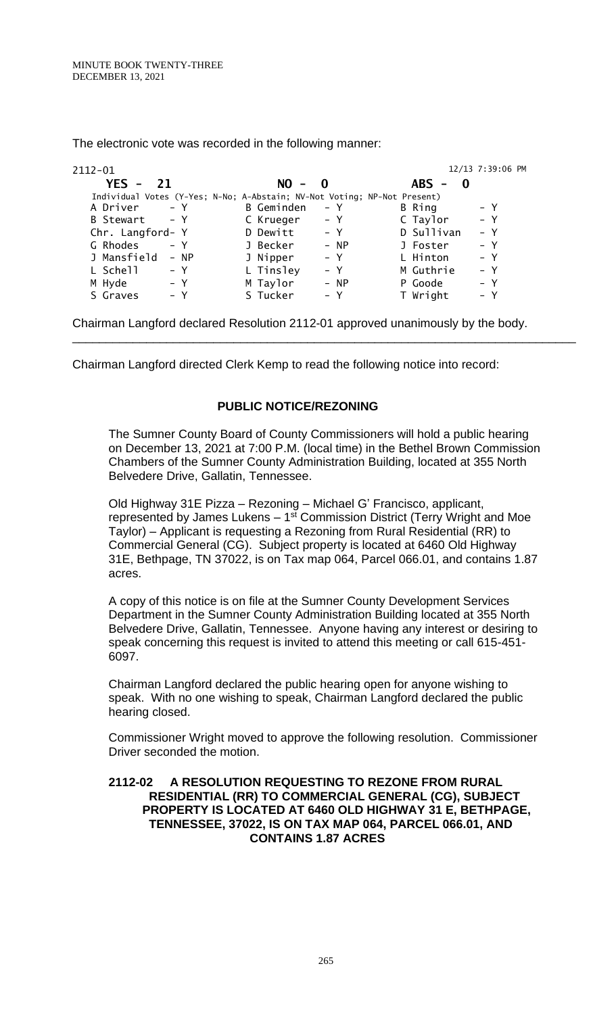| 2112-01                                                                  |                   | 12/13 7:39:06 PM    |
|--------------------------------------------------------------------------|-------------------|---------------------|
| $YES - 21$                                                               | $NO -$<br>- 0     | $ABS -$<br>$\bf{0}$ |
| Individual Votes (Y-Yes; N-No; A-Abstain; NV-Not Voting; NP-Not Present) |                   |                     |
| A Driver                                                                 | <b>B</b> Geminden | $- Y$               |
| $- Y$                                                                    | – Y               | B Ring              |
| B Stewart                                                                | – Y               | $- Y$               |
| $- Y$                                                                    | C Krueger         | C Taylor            |
| Chr. Langford- Y                                                         | D Dewitt<br>$- Y$ | D Sullivan<br>$- Y$ |
| G Rhodes                                                                 | J Becker          | $- Y$               |
| $- Y$                                                                    | $- NP$            | J Foster            |
| J Mansfield                                                              | J Nipper          | $- Y$               |
| $- NP$                                                                   | $- Y$             | L Hinton            |
| L Schell                                                                 | L Tinsley         | M Guthrie           |
| $- Y$                                                                    | $- Y$             | $- Y$               |
| M Hyde                                                                   | M Taylor          | $- Y$               |
| – Y                                                                      | - NP              | P Goode             |
| S Graves                                                                 | S Tucker          | T Wright            |
| $- Y$                                                                    | $- Y$             | $- Y$               |

The electronic vote was recorded in the following manner:

Chairman Langford declared Resolution 2112-01 approved unanimously by the body.

Chairman Langford directed Clerk Kemp to read the following notice into record:

# **PUBLIC NOTICE/REZONING**

The Sumner County Board of County Commissioners will hold a public hearing on December 13, 2021 at 7:00 P.M. (local time) in the Bethel Brown Commission Chambers of the Sumner County Administration Building, located at 355 North Belvedere Drive, Gallatin, Tennessee.

\_\_\_\_\_\_\_\_\_\_\_\_\_\_\_\_\_\_\_\_\_\_\_\_\_\_\_\_\_\_\_\_\_\_\_\_\_\_\_\_\_\_\_\_\_\_\_\_\_\_\_\_\_\_\_\_\_\_\_\_\_\_\_\_\_\_\_\_\_\_\_\_\_\_\_

Old Highway 31E Pizza – Rezoning – Michael G' Francisco, applicant, represented by James Lukens – 1<sup>st</sup> Commission District (Terry Wright and Moe Taylor) – Applicant is requesting a Rezoning from Rural Residential (RR) to Commercial General (CG). Subject property is located at 6460 Old Highway 31E, Bethpage, TN 37022, is on Tax map 064, Parcel 066.01, and contains 1.87 acres.

A copy of this notice is on file at the Sumner County Development Services Department in the Sumner County Administration Building located at 355 North Belvedere Drive, Gallatin, Tennessee. Anyone having any interest or desiring to speak concerning this request is invited to attend this meeting or call 615-451- 6097.

Chairman Langford declared the public hearing open for anyone wishing to speak. With no one wishing to speak, Chairman Langford declared the public hearing closed.

Commissioner Wright moved to approve the following resolution. Commissioner Driver seconded the motion.

#### **2112-02 A RESOLUTION REQUESTING TO REZONE FROM RURAL RESIDENTIAL (RR) TO COMMERCIAL GENERAL (CG), SUBJECT PROPERTY IS LOCATED AT 6460 OLD HIGHWAY 31 E, BETHPAGE, TENNESSEE, 37022, IS ON TAX MAP 064, PARCEL 066.01, AND CONTAINS 1.87 ACRES**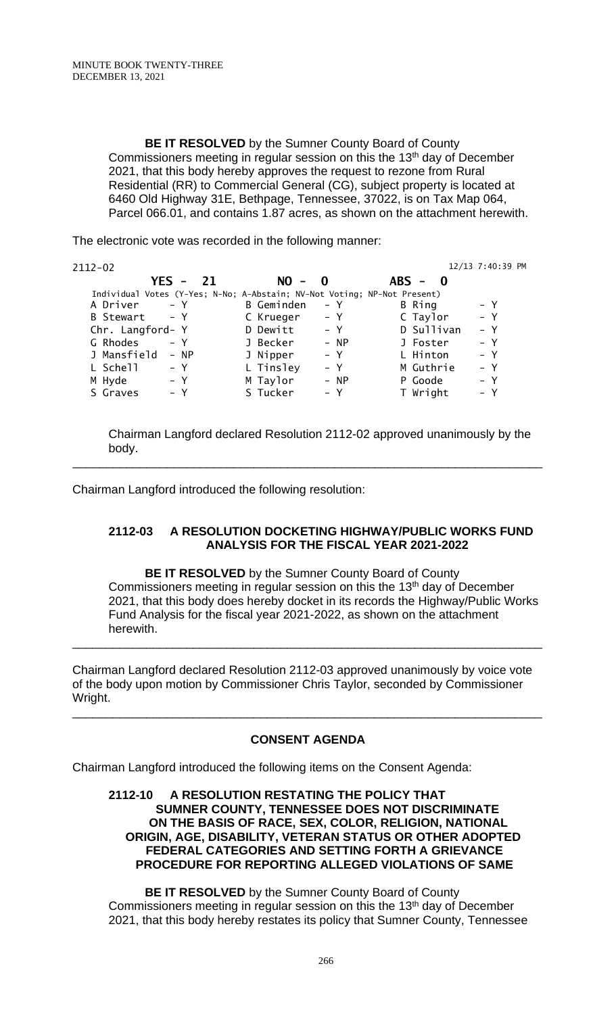**BE IT RESOLVED** by the Sumner County Board of County Commissioners meeting in regular session on this the 13<sup>th</sup> day of December 2021, that this body hereby approves the request to rezone from Rural Residential (RR) to Commercial General (CG), subject property is located at 6460 Old Highway 31E, Bethpage, Tennessee, 37022, is on Tax Map 064, Parcel 066.01, and contains 1.87 acres, as shown on the attachment herewith.

The electronic vote was recorded in the following manner:

| 2112-02          |        |    |            |              |                                                                          | 12/13 7:40:39 PM |
|------------------|--------|----|------------|--------------|--------------------------------------------------------------------------|------------------|
|                  | YFS -  | 21 | $NO -$     | $\mathbf{0}$ | $ABS - 0$                                                                |                  |
|                  |        |    |            |              | Individual Votes (Y-Yes; N-No; A-Abstain; NV-Not Voting; NP-Not Present) |                  |
| A Driver         | $- Y$  |    | B Geminden | – Y          | B Ring                                                                   | – Y              |
| B Stewart        | $- Y$  |    | C Krueger  | – Y          | C Taylor                                                                 | $- Y$            |
| Chr. Langford- Y |        |    | D Dewitt   | $- Y$        | D Sullivan                                                               | $- Y$            |
| G Rhodes         | $- Y$  |    | J Becker   | $- NP$       | J Foster                                                                 | – Y              |
| J Mansfield      | $- NP$ |    | J Nipper   | $- Y$        | L Hinton                                                                 | $- Y$            |
| L Schell         | – Y    |    | L Tinsley  | $- Y$        | M Guthrie                                                                | $- Y$            |
| M Hyde           | – Y    |    | M Taylor   | $- NP$       | P Goode                                                                  | – Y              |
| S Graves         | – Y    |    | S Tucker   | $- Y$        | T Wright                                                                 | – Y              |
|                  |        |    |            |              |                                                                          |                  |

Chairman Langford declared Resolution 2112-02 approved unanimously by the body.

\_\_\_\_\_\_\_\_\_\_\_\_\_\_\_\_\_\_\_\_\_\_\_\_\_\_\_\_\_\_\_\_\_\_\_\_\_\_\_\_\_\_\_\_\_\_\_\_\_\_\_\_\_\_\_\_\_\_\_\_\_\_\_\_\_\_\_\_\_\_

Chairman Langford introduced the following resolution:

# **2112-03 A RESOLUTION DOCKETING HIGHWAY/PUBLIC WORKS FUND ANALYSIS FOR THE FISCAL YEAR 2021-2022**

**BE IT RESOLVED** by the Sumner County Board of County Commissioners meeting in regular session on this the 13<sup>th</sup> day of December 2021, that this body does hereby docket in its records the Highway/Public Works Fund Analysis for the fiscal year 2021-2022, as shown on the attachment herewith.

Chairman Langford declared Resolution 2112-03 approved unanimously by voice vote of the body upon motion by Commissioner Chris Taylor, seconded by Commissioner Wright.

\_\_\_\_\_\_\_\_\_\_\_\_\_\_\_\_\_\_\_\_\_\_\_\_\_\_\_\_\_\_\_\_\_\_\_\_\_\_\_\_\_\_\_\_\_\_\_\_\_\_\_\_\_\_\_\_\_\_\_\_\_\_\_\_\_\_\_\_\_\_

# **CONSENT AGENDA**

\_\_\_\_\_\_\_\_\_\_\_\_\_\_\_\_\_\_\_\_\_\_\_\_\_\_\_\_\_\_\_\_\_\_\_\_\_\_\_\_\_\_\_\_\_\_\_\_\_\_\_\_\_\_\_\_\_\_\_\_\_\_\_\_\_\_\_\_\_\_

Chairman Langford introduced the following items on the Consent Agenda:

#### **2112-10 A RESOLUTION RESTATING THE POLICY THAT SUMNER COUNTY, TENNESSEE DOES NOT DISCRIMINATE ON THE BASIS OF RACE, SEX, COLOR, RELIGION, NATIONAL ORIGIN, AGE, DISABILITY, VETERAN STATUS OR OTHER ADOPTED FEDERAL CATEGORIES AND SETTING FORTH A GRIEVANCE PROCEDURE FOR REPORTING ALLEGED VIOLATIONS OF SAME**

**BE IT RESOLVED** by the Sumner County Board of County Commissioners meeting in regular session on this the 13<sup>th</sup> day of December 2021, that this body hereby restates its policy that Sumner County, Tennessee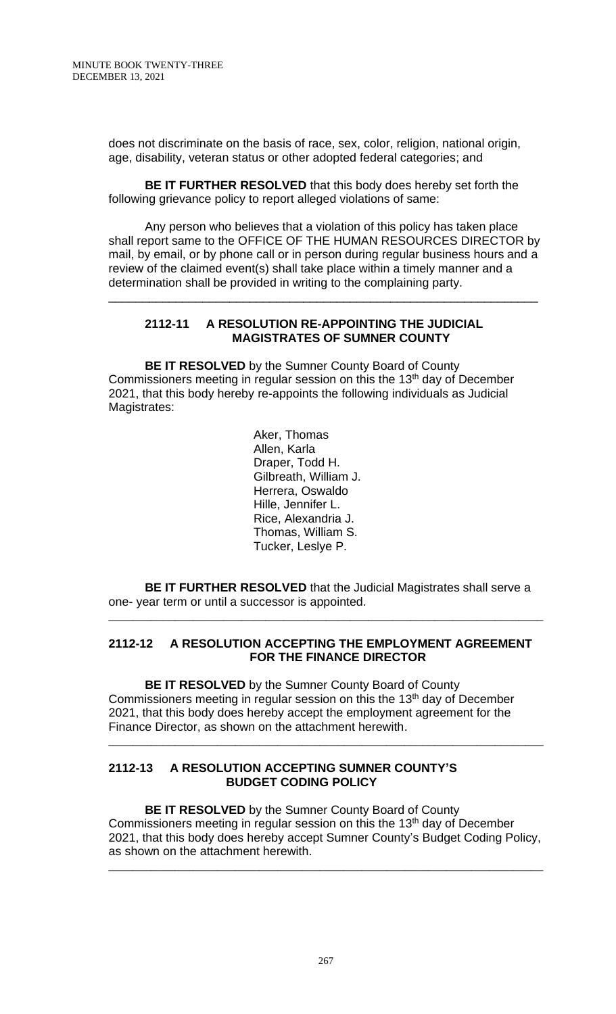does not discriminate on the basis of race, sex, color, religion, national origin, age, disability, veteran status or other adopted federal categories; and

**BE IT FURTHER RESOLVED** that this body does hereby set forth the following grievance policy to report alleged violations of same:

Any person who believes that a violation of this policy has taken place shall report same to the OFFICE OF THE HUMAN RESOURCES DIRECTOR by mail, by email, or by phone call or in person during regular business hours and a review of the claimed event(s) shall take place within a timely manner and a determination shall be provided in writing to the complaining party.

\_\_\_\_\_\_\_\_\_\_\_\_\_\_\_\_\_\_\_\_\_\_\_\_\_\_\_\_\_\_\_\_\_\_\_\_\_\_\_\_\_\_\_\_\_\_\_\_\_\_\_\_\_\_\_\_\_\_\_\_\_\_\_\_

### **2112-11 A RESOLUTION RE-APPOINTING THE JUDICIAL MAGISTRATES OF SUMNER COUNTY**

**BE IT RESOLVED** by the Sumner County Board of County Commissioners meeting in regular session on this the 13<sup>th</sup> day of December 2021, that this body hereby re-appoints the following individuals as Judicial Magistrates:

> Aker, Thomas Allen, Karla Draper, Todd H. Gilbreath, William J. Herrera, Oswaldo Hille, Jennifer L. Rice, Alexandria J. Thomas, William S. Tucker, Leslye P.

**BE IT FURTHER RESOLVED** that the Judicial Magistrates shall serve a one- year term or until a successor is appointed.

\_\_\_\_\_\_\_\_\_\_\_\_\_\_\_\_\_\_\_\_\_\_\_\_\_\_\_\_\_\_\_\_\_\_\_\_\_\_\_\_\_\_\_\_\_\_\_\_\_\_\_\_\_\_\_\_\_\_\_\_\_\_\_\_\_\_\_\_\_\_\_\_

### **2112-12 A RESOLUTION ACCEPTING THE EMPLOYMENT AGREEMENT FOR THE FINANCE DIRECTOR**

**BE IT RESOLVED** by the Sumner County Board of County Commissioners meeting in regular session on this the 13<sup>th</sup> day of December 2021, that this body does hereby accept the employment agreement for the Finance Director, as shown on the attachment herewith.

### **2112-13 A RESOLUTION ACCEPTING SUMNER COUNTY'S BUDGET CODING POLICY**

**BE IT RESOLVED** by the Sumner County Board of County Commissioners meeting in regular session on this the 13<sup>th</sup> day of December 2021, that this body does hereby accept Sumner County's Budget Coding Policy, as shown on the attachment herewith.

\_\_\_\_\_\_\_\_\_\_\_\_\_\_\_\_\_\_\_\_\_\_\_\_\_\_\_\_\_\_\_\_\_\_\_\_\_\_\_\_\_\_\_\_\_\_\_\_\_\_\_\_\_\_\_\_\_\_\_\_\_\_\_\_\_\_\_\_\_\_\_\_

\_\_\_\_\_\_\_\_\_\_\_\_\_\_\_\_\_\_\_\_\_\_\_\_\_\_\_\_\_\_\_\_\_\_\_\_\_\_\_\_\_\_\_\_\_\_\_\_\_\_\_\_\_\_\_\_\_\_\_\_\_\_\_\_\_\_\_\_\_\_\_\_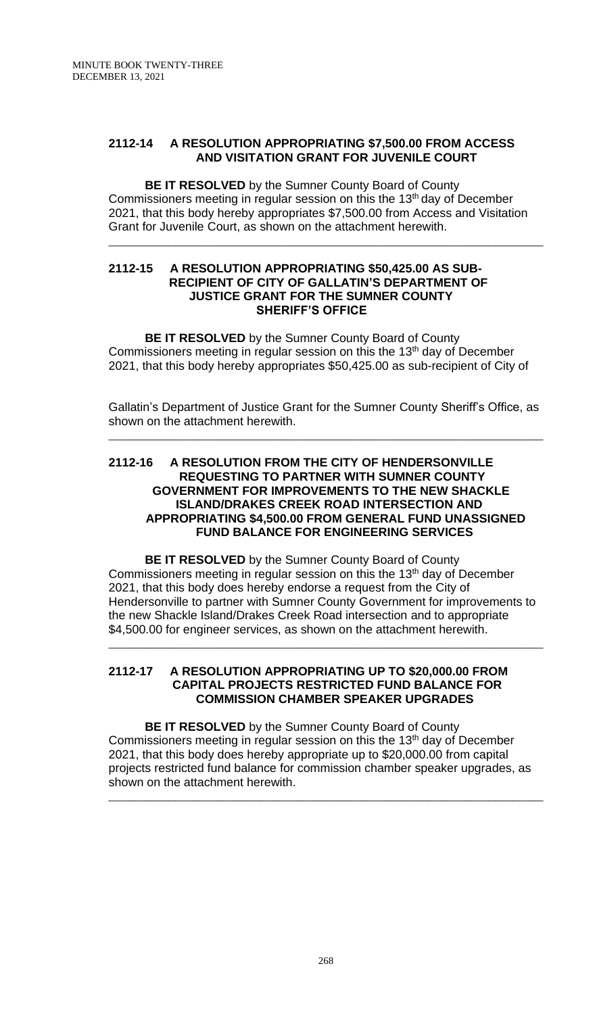### **2112-14 A RESOLUTION APPROPRIATING \$7,500.00 FROM ACCESS AND VISITATION GRANT FOR JUVENILE COURT**

**BE IT RESOLVED** by the Sumner County Board of County Commissioners meeting in regular session on this the 13<sup>th</sup> day of December 2021, that this body hereby appropriates \$7,500.00 from Access and Visitation Grant for Juvenile Court, as shown on the attachment herewith.

\_\_\_\_\_\_\_\_\_\_\_\_\_\_\_\_\_\_\_\_\_\_\_\_\_\_\_\_\_\_\_\_\_\_\_\_\_\_\_\_\_\_\_\_\_\_\_\_\_\_\_\_\_\_\_\_\_\_\_\_\_\_\_\_\_\_\_\_\_\_\_\_

#### **2112-15 A RESOLUTION APPROPRIATING \$50,425.00 AS SUB- RECIPIENT OF CITY OF GALLATIN'S DEPARTMENT OF JUSTICE GRANT FOR THE SUMNER COUNTY SHERIFF'S OFFICE**

**BE IT RESOLVED** by the Sumner County Board of County Commissioners meeting in regular session on this the 13<sup>th</sup> day of December 2021, that this body hereby appropriates \$50,425.00 as sub-recipient of City of

Gallatin's Department of Justice Grant for the Sumner County Sheriff's Office, as shown on the attachment herewith.

\_\_\_\_\_\_\_\_\_\_\_\_\_\_\_\_\_\_\_\_\_\_\_\_\_\_\_\_\_\_\_\_\_\_\_\_\_\_\_\_\_\_\_\_\_\_\_\_\_\_\_\_\_\_\_\_\_\_\_\_\_\_\_\_\_\_\_\_\_\_\_\_

#### **2112-16 A RESOLUTION FROM THE CITY OF HENDERSONVILLE REQUESTING TO PARTNER WITH SUMNER COUNTY GOVERNMENT FOR IMPROVEMENTS TO THE NEW SHACKLE ISLAND/DRAKES CREEK ROAD INTERSECTION AND APPROPRIATING \$4,500.00 FROM GENERAL FUND UNASSIGNED FUND BALANCE FOR ENGINEERING SERVICES**

**BE IT RESOLVED** by the Sumner County Board of County Commissioners meeting in regular session on this the 13<sup>th</sup> day of December 2021, that this body does hereby endorse a request from the City of Hendersonville to partner with Sumner County Government for improvements to the new Shackle Island/Drakes Creek Road intersection and to appropriate \$4,500.00 for engineer services, as shown on the attachment herewith.

\_\_\_\_\_\_\_\_\_\_\_\_\_\_\_\_\_\_\_\_\_\_\_\_\_\_\_\_\_\_\_\_\_\_\_\_\_\_\_\_\_\_\_\_\_\_\_\_\_\_\_\_\_\_\_\_\_\_\_\_\_\_\_\_\_\_\_\_\_\_\_\_

#### **2112-17 A RESOLUTION APPROPRIATING UP TO \$20,000.00 FROM CAPITAL PROJECTS RESTRICTED FUND BALANCE FOR COMMISSION CHAMBER SPEAKER UPGRADES**

**BE IT RESOLVED** by the Sumner County Board of County Commissioners meeting in regular session on this the 13<sup>th</sup> day of December 2021, that this body does hereby appropriate up to \$20,000.00 from capital projects restricted fund balance for commission chamber speaker upgrades, as shown on the attachment herewith.

\_\_\_\_\_\_\_\_\_\_\_\_\_\_\_\_\_\_\_\_\_\_\_\_\_\_\_\_\_\_\_\_\_\_\_\_\_\_\_\_\_\_\_\_\_\_\_\_\_\_\_\_\_\_\_\_\_\_\_\_\_\_\_\_\_\_\_\_\_\_\_\_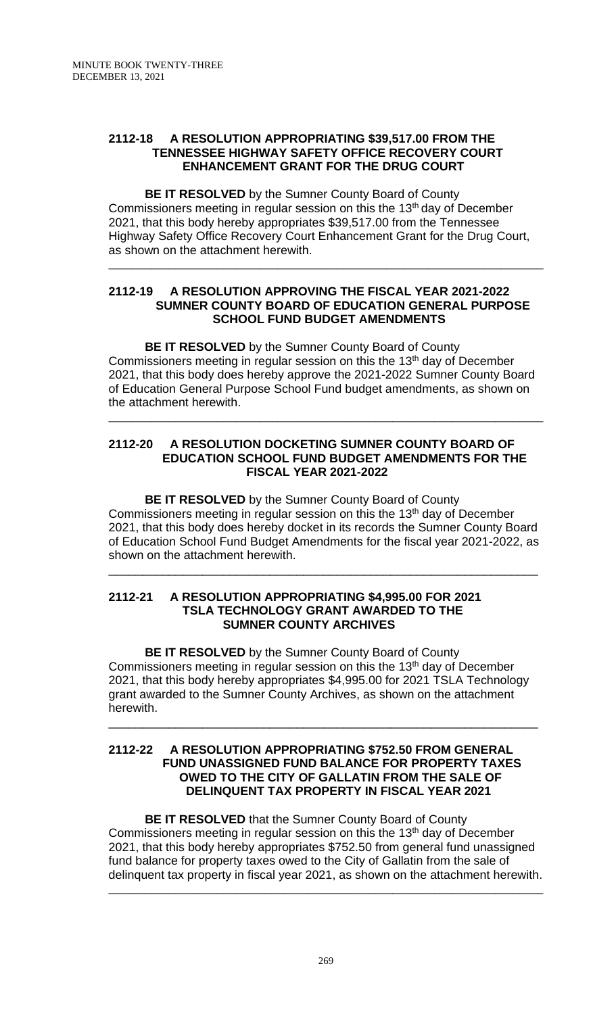## **2112-18 A RESOLUTION APPROPRIATING \$39,517.00 FROM THE TENNESSEE HIGHWAY SAFETY OFFICE RECOVERY COURT ENHANCEMENT GRANT FOR THE DRUG COURT**

**BE IT RESOLVED** by the Sumner County Board of County Commissioners meeting in regular session on this the 13<sup>th</sup> day of December 2021, that this body hereby appropriates \$39,517.00 from the Tennessee Highway Safety Office Recovery Court Enhancement Grant for the Drug Court, as shown on the attachment herewith.

## **2112-19 A RESOLUTION APPROVING THE FISCAL YEAR 2021-2022 SUMNER COUNTY BOARD OF EDUCATION GENERAL PURPOSE SCHOOL FUND BUDGET AMENDMENTS**

\_\_\_\_\_\_\_\_\_\_\_\_\_\_\_\_\_\_\_\_\_\_\_\_\_\_\_\_\_\_\_\_\_\_\_\_\_\_\_\_\_\_\_\_\_\_\_\_\_\_\_\_\_\_\_\_\_\_\_\_\_\_\_\_\_\_\_\_\_\_\_\_

**BE IT RESOLVED** by the Sumner County Board of County Commissioners meeting in regular session on this the 13<sup>th</sup> day of December 2021, that this body does hereby approve the 2021-2022 Sumner County Board of Education General Purpose School Fund budget amendments, as shown on the attachment herewith.

\_\_\_\_\_\_\_\_\_\_\_\_\_\_\_\_\_\_\_\_\_\_\_\_\_\_\_\_\_\_\_\_\_\_\_\_\_\_\_\_\_\_\_\_\_\_\_\_\_\_\_\_\_\_\_\_\_\_\_\_\_\_\_\_\_\_\_\_\_\_\_\_

### **2112-20 A RESOLUTION DOCKETING SUMNER COUNTY BOARD OF EDUCATION SCHOOL FUND BUDGET AMENDMENTS FOR THE FISCAL YEAR 2021-2022**

**BE IT RESOLVED** by the Sumner County Board of County Commissioners meeting in regular session on this the 13<sup>th</sup> day of December 2021, that this body does hereby docket in its records the Sumner County Board of Education School Fund Budget Amendments for the fiscal year 2021-2022, as shown on the attachment herewith.

\_\_\_\_\_\_\_\_\_\_\_\_\_\_\_\_\_\_\_\_\_\_\_\_\_\_\_\_\_\_\_\_\_\_\_\_\_\_\_\_\_\_\_\_\_\_\_\_\_\_\_\_\_\_\_\_\_\_\_\_\_\_\_\_

#### **2112-21 A RESOLUTION APPROPRIATING \$4,995.00 FOR 2021 TSLA TECHNOLOGY GRANT AWARDED TO THE SUMNER COUNTY ARCHIVES**

**BE IT RESOLVED** by the Sumner County Board of County Commissioners meeting in regular session on this the 13<sup>th</sup> day of December 2021, that this body hereby appropriates \$4,995.00 for 2021 TSLA Technology grant awarded to the Sumner County Archives, as shown on the attachment herewith.

\_\_\_\_\_\_\_\_\_\_\_\_\_\_\_\_\_\_\_\_\_\_\_\_\_\_\_\_\_\_\_\_\_\_\_\_\_\_\_\_\_\_\_\_\_\_\_\_\_\_\_\_\_\_\_\_\_\_\_\_\_\_\_\_

### **2112-22 A RESOLUTION APPROPRIATING \$752.50 FROM GENERAL FUND UNASSIGNED FUND BALANCE FOR PROPERTY TAXES OWED TO THE CITY OF GALLATIN FROM THE SALE OF DELINQUENT TAX PROPERTY IN FISCAL YEAR 2021**

**BE IT RESOLVED** that the Sumner County Board of County Commissioners meeting in regular session on this the 13<sup>th</sup> day of December 2021, that this body hereby appropriates \$752.50 from general fund unassigned fund balance for property taxes owed to the City of Gallatin from the sale of delinquent tax property in fiscal year 2021, as shown on the attachment herewith. \_\_\_\_\_\_\_\_\_\_\_\_\_\_\_\_\_\_\_\_\_\_\_\_\_\_\_\_\_\_\_\_\_\_\_\_\_\_\_\_\_\_\_\_\_\_\_\_\_\_\_\_\_\_\_\_\_\_\_\_\_\_\_\_\_\_\_\_\_\_\_\_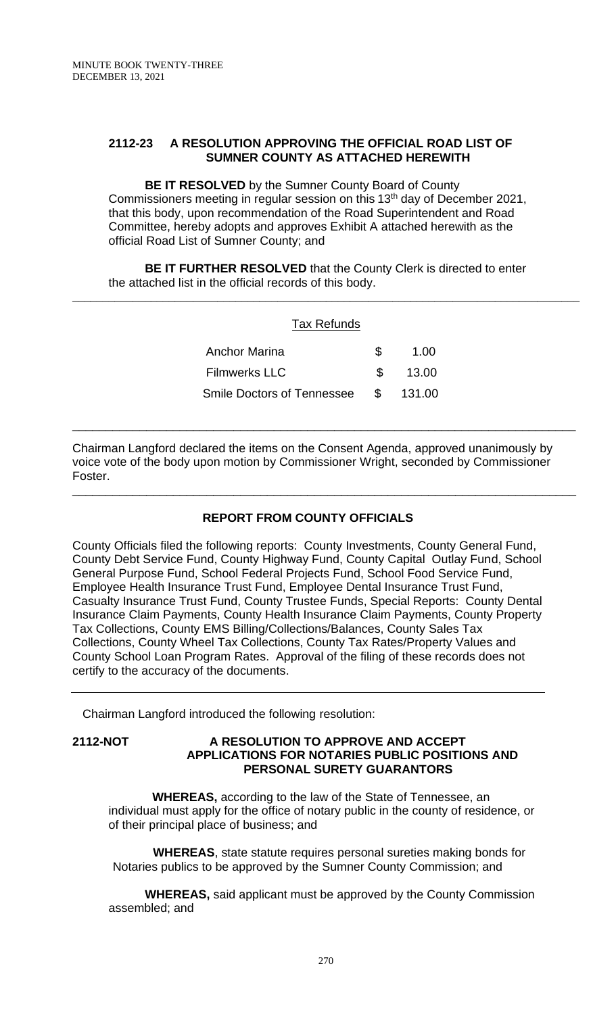## **2112-23 A RESOLUTION APPROVING THE OFFICIAL ROAD LIST OF SUMNER COUNTY AS ATTACHED HEREWITH**

**BE IT RESOLVED** by the Sumner County Board of County Commissioners meeting in regular session on this 13<sup>th</sup> day of December 2021, that this body, upon recommendation of the Road Superintendent and Road Committee, hereby adopts and approves Exhibit A attached herewith as the official Road List of Sumner County; and

**BE IT FURTHER RESOLVED** that the County Clerk is directed to enter the attached list in the official records of this body.

| <b>Tax Refunds</b>                |                |        |
|-----------------------------------|----------------|--------|
| <b>Anchor Marina</b>              | \$             | 1.00   |
| <b>Filmwerks LLC</b>              | \$             | 13.00  |
| <b>Smile Doctors of Tennessee</b> | $\mathfrak{S}$ | 131.00 |
|                                   |                |        |

Chairman Langford declared the items on the Consent Agenda, approved unanimously by voice vote of the body upon motion by Commissioner Wright, seconded by Commissioner Foster.

\_\_\_\_\_\_\_\_\_\_\_\_\_\_\_\_\_\_\_\_\_\_\_\_\_\_\_\_\_\_\_\_\_\_\_\_\_\_\_\_\_\_\_\_\_\_\_\_\_\_\_\_\_\_\_\_\_\_\_\_\_\_\_\_\_\_\_\_\_\_\_\_\_\_\_

# **REPORT FROM COUNTY OFFICIALS**

County Officials filed the following reports: County Investments, County General Fund, County Debt Service Fund, County Highway Fund, County Capital Outlay Fund, School General Purpose Fund, School Federal Projects Fund, School Food Service Fund, Employee Health Insurance Trust Fund, Employee Dental Insurance Trust Fund, Casualty Insurance Trust Fund, County Trustee Funds, Special Reports: County Dental Insurance Claim Payments, County Health Insurance Claim Payments, County Property Tax Collections, County EMS Billing/Collections/Balances, County Sales Tax Collections, County Wheel Tax Collections, County Tax Rates/Property Values and County School Loan Program Rates. Approval of the filing of these records does not certify to the accuracy of the documents.

Chairman Langford introduced the following resolution:

#### **2112-NOT A RESOLUTION TO APPROVE AND ACCEPT APPLICATIONS FOR NOTARIES PUBLIC POSITIONS AND PERSONAL SURETY GUARANTORS**

 **WHEREAS,** according to the law of the State of Tennessee, an individual must apply for the office of notary public in the county of residence, or of their principal place of business; and

 **WHEREAS**, state statute requires personal sureties making bonds for Notaries publics to be approved by the Sumner County Commission; and

**WHEREAS,** said applicant must be approved by the County Commission assembled; and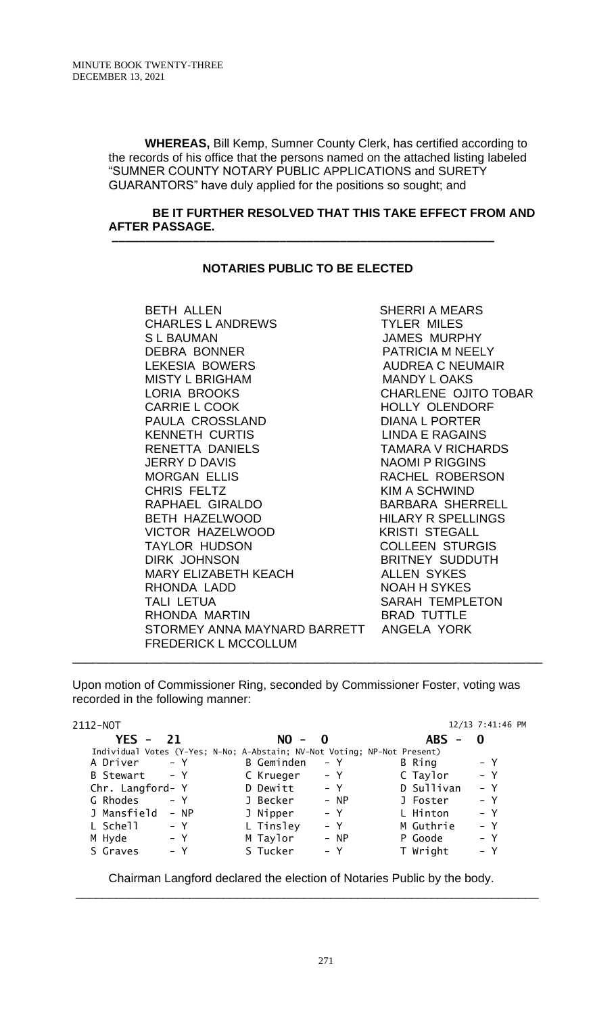**WHEREAS,** Bill Kemp, Sumner County Clerk, has certified according to the records of his office that the persons named on the attached listing labeled "SUMNER COUNTY NOTARY PUBLIC APPLICATIONS and SURETY GUARANTORS" have duly applied for the positions so sought; and

#### **BE IT FURTHER RESOLVED THAT THIS TAKE EFFECT FROM AND AFTER PASSAGE.**

### **NOTARIES PUBLIC TO BE ELECTED**

 **–––––––––––––––––––––––––––––––––––––––––––––––––––––––––**

BETH ALLEN SHERRI A MEARS CHARLES L ANDREWS TYLER MILES S L BAUMAN JAMES MURPHY DEBRA BONNER PATRICIA M NEELY LEKESIA BOWERS AUDREA C NEUMAIR MISTY L BRIGHAM MANDY L OAKS LORIA BROOKS CHARLENE OJITO TOBAR CARRIE L COOK HOLLY OLENDORF PAULA CROSSLAND DIANA L PORTER KENNETH CURTIS LINDA E RAGAINS RENETTA DANIELS TAMARA V RICHARDS JERRY D DAVIS NAOMI P RIGGINS MORGAN ELLIS RACHEL ROBERSON CHRIS FELTZ KIM A SCHWIND RAPHAEL GIRALDO BARBARA SHERRELL BETH HAZELWOOD HILARY R SPELLINGS VICTOR HAZELWOOD KRISTI STEGALL TAYLOR HUDSON COLLEEN STURGIS DIRK JOHNSON BRITNEY SUDDUTH MARY ELIZABETH KEACH ALLEN SYKES RHONDA LADD NOAH H SYKES TALI LETUA NA SARAH TEMPLETON RHONDA MARTIN BRAD TUTTLE STORMEY ANNA MAYNARD BARRETT ANGELA YORK FREDERICK L MCCOLLUM

Upon motion of Commissioner Ring, seconded by Commissioner Foster, voting was recorded in the following manner:

\_\_\_\_\_\_\_\_\_\_\_\_\_\_\_\_\_\_\_\_\_\_\_\_\_\_\_\_\_\_\_\_\_\_\_\_\_\_\_\_\_\_\_\_\_\_\_\_\_\_\_\_\_\_\_\_\_\_\_\_\_\_\_\_\_\_\_\_\_\_

| 2112-NOT         |                                                                          |                   |              |            | 12/13 7:41:46 PM |
|------------------|--------------------------------------------------------------------------|-------------------|--------------|------------|------------------|
| $YES -$          | 21                                                                       | $NO -$            | $\mathbf{0}$ | <b>ABS</b> | $\mathbf{0}$     |
|                  | Individual Votes (Y-Yes; N-No; A-Abstain; NV-Not Voting; NP-Not Present) |                   |              |            |                  |
| A Driver         | $- Y$                                                                    | <b>B</b> Geminden | – Y          | B Ring     | – Y              |
| B Stewart        | $- Y$                                                                    | C Krueger         | $- Y$        | C Taylor   | $- Y$            |
| Chr. Langford- Y |                                                                          | D Dewitt          | – Y          | D Sullivan | $- Y$            |
| G Rhodes         | $- Y$                                                                    | J Becker          | $- NP$       | J Foster   | $- Y$            |
| J Mansfield      | - NP                                                                     | J Nipper          | $- Y$        | L Hinton   | $- Y$            |
| L Schell         | $- Y$                                                                    | L Tinsley         | $- Y$        | M Guthrie  | $- Y$            |
| M Hyde           | – Y                                                                      | M Taylor          | $- NP$       | P Goode    | $- Y$            |
| S Graves         | – Y                                                                      | S Tucker          | $- Y$        | T Wright   | $- Y$            |
|                  |                                                                          |                   |              |            |                  |

Chairman Langford declared the election of Notaries Public by the body.

\_\_\_\_\_\_\_\_\_\_\_\_\_\_\_\_\_\_\_\_\_\_\_\_\_\_\_\_\_\_\_\_\_\_\_\_\_\_\_\_\_\_\_\_\_\_\_\_\_\_\_\_\_\_\_\_\_\_\_\_\_\_\_\_\_\_\_\_\_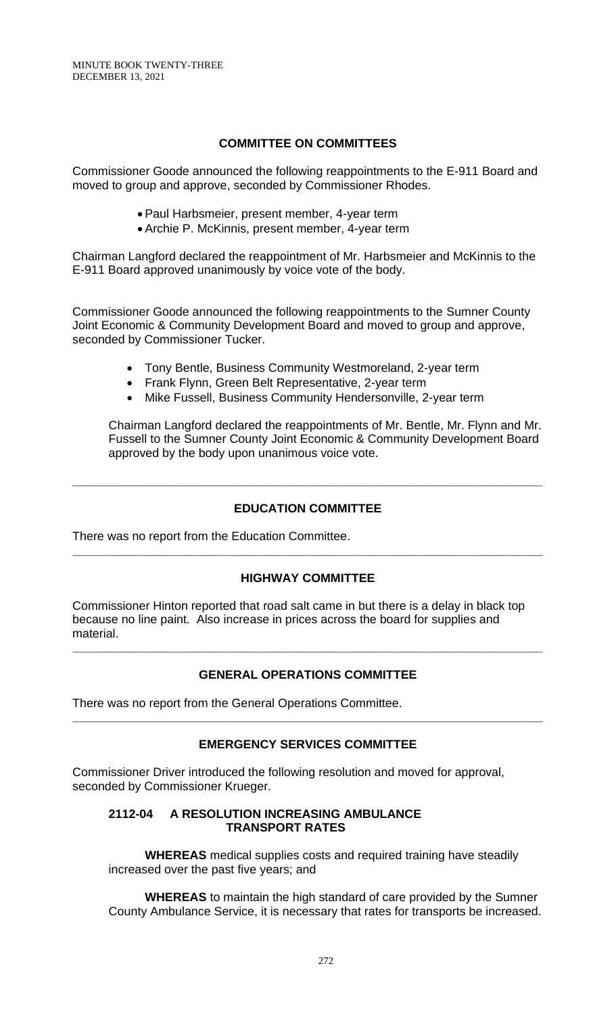# **COMMITTEE ON COMMITTEES**

Commissioner Goode announced the following reappointments to the E-911 Board and moved to group and approve, seconded by Commissioner Rhodes.

- Paul Harbsmeier, present member, 4-year term
- Archie P. McKinnis, present member, 4-year term

Chairman Langford declared the reappointment of Mr. Harbsmeier and McKinnis to the E-911 Board approved unanimously by voice vote of the body.

Commissioner Goode announced the following reappointments to the Sumner County Joint Economic & Community Development Board and moved to group and approve, seconded by Commissioner Tucker.

- Tony Bentle, Business Community Westmoreland, 2-year term
- Frank Flynn, Green Belt Representative, 2-year term
- Mike Fussell, Business Community Hendersonville, 2-year term

Chairman Langford declared the reappointments of Mr. Bentle, Mr. Flynn and Mr. Fussell to the Sumner County Joint Economic & Community Development Board approved by the body upon unanimous voice vote.

# **EDUCATION COMMITTEE**

**\_\_\_\_\_\_\_\_\_\_\_\_\_\_\_\_\_\_\_\_\_\_\_\_\_\_\_\_\_\_\_\_\_\_\_\_\_\_\_\_\_\_\_\_\_\_\_\_\_\_\_\_\_\_\_\_\_\_\_\_\_\_\_\_\_\_\_\_\_\_**

There was no report from the Education Committee.

# **HIGHWAY COMMITTEE**

**\_\_\_\_\_\_\_\_\_\_\_\_\_\_\_\_\_\_\_\_\_\_\_\_\_\_\_\_\_\_\_\_\_\_\_\_\_\_\_\_\_\_\_\_\_\_\_\_\_\_\_\_\_\_\_\_\_\_\_\_\_\_\_\_\_\_\_\_\_\_**

Commissioner Hinton reported that road salt came in but there is a delay in black top because no line paint. Also increase in prices across the board for supplies and material.

# **GENERAL OPERATIONS COMMITTEE**

**\_\_\_\_\_\_\_\_\_\_\_\_\_\_\_\_\_\_\_\_\_\_\_\_\_\_\_\_\_\_\_\_\_\_\_\_\_\_\_\_\_\_\_\_\_\_\_\_\_\_\_\_\_\_\_\_\_\_\_\_\_\_\_\_\_\_\_\_\_\_**

There was no report from the General Operations Committee.

# **EMERGENCY SERVICES COMMITTEE**

**\_\_\_\_\_\_\_\_\_\_\_\_\_\_\_\_\_\_\_\_\_\_\_\_\_\_\_\_\_\_\_\_\_\_\_\_\_\_\_\_\_\_\_\_\_\_\_\_\_\_\_\_\_\_\_\_\_\_\_\_\_\_\_\_\_\_\_\_\_\_**

Commissioner Driver introduced the following resolution and moved for approval, seconded by Commissioner Krueger.

### **2112-04 A RESOLUTION INCREASING AMBULANCE TRANSPORT RATES**

**WHEREAS** medical supplies costs and required training have steadily increased over the past five years; and

**WHEREAS** to maintain the high standard of care provided by the Sumner County Ambulance Service, it is necessary that rates for transports be increased.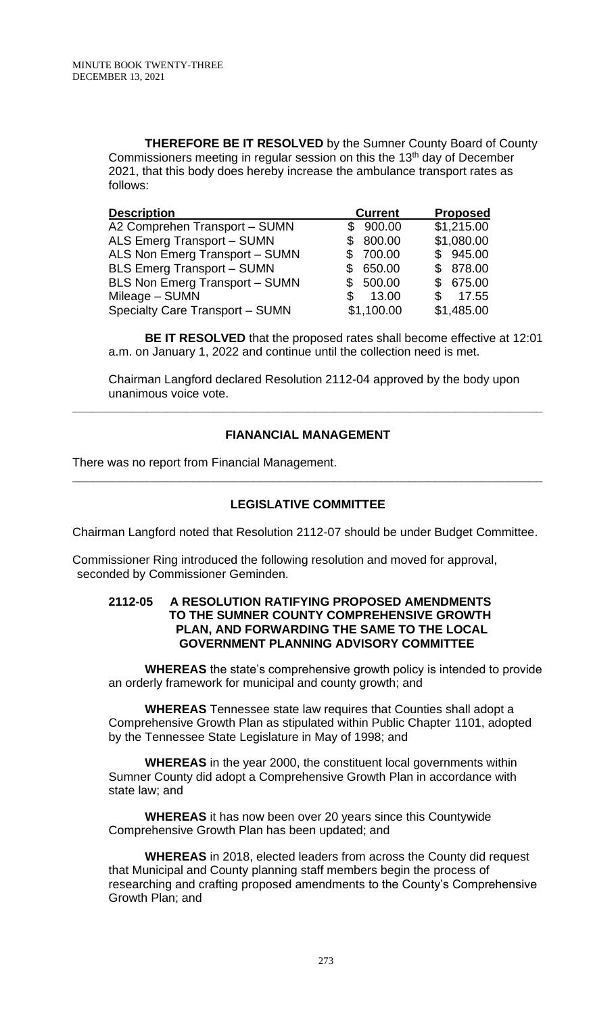**THEREFORE BE IT RESOLVED** by the Sumner County Board of County Commissioners meeting in regular session on this the 13<sup>th</sup> day of December 2021, that this body does hereby increase the ambulance transport rates as follows:

| <b>Description</b>                    | <b>Current</b> | <b>Proposed</b> |  |
|---------------------------------------|----------------|-----------------|--|
| A2 Comprehen Transport - SUMN         | 900.00<br>\$   | \$1,215.00      |  |
| ALS Emerg Transport - SUMN            | 800.00         | \$1,080.00      |  |
| ALS Non Emerg Transport - SUMN        | 700.00         | \$945.00        |  |
| <b>BLS Emerg Transport - SUMN</b>     | 650.00         | \$ 878.00       |  |
| <b>BLS Non Emerg Transport - SUMN</b> | 500.00         | \$675.00        |  |
| Mileage - SUMN                        | 13.00          | 17.55<br>S      |  |
| Specialty Care Transport - SUMN       | \$1,100.00     | \$1,485.00      |  |

**BE IT RESOLVED** that the proposed rates shall become effective at 12:01 a.m. on January 1, 2022 and continue until the collection need is met.

Chairman Langford declared Resolution 2112-04 approved by the body upon unanimous voice vote.

# **FIANANCIAL MANAGEMENT**

**\_\_\_\_\_\_\_\_\_\_\_\_\_\_\_\_\_\_\_\_\_\_\_\_\_\_\_\_\_\_\_\_\_\_\_\_\_\_\_\_\_\_\_\_\_\_\_\_\_\_\_\_\_\_\_\_\_\_\_\_\_\_\_\_\_\_\_\_\_\_**

There was no report from Financial Management.

# **LEGISLATIVE COMMITTEE**

**\_\_\_\_\_\_\_\_\_\_\_\_\_\_\_\_\_\_\_\_\_\_\_\_\_\_\_\_\_\_\_\_\_\_\_\_\_\_\_\_\_\_\_\_\_\_\_\_\_\_\_\_\_\_\_\_\_\_\_\_\_\_\_\_\_\_\_\_\_\_**

Chairman Langford noted that Resolution 2112-07 should be under Budget Committee.

Commissioner Ring introduced the following resolution and moved for approval, seconded by Commissioner Geminden.

#### **2112-05 A RESOLUTION RATIFYING PROPOSED AMENDMENTS TO THE SUMNER COUNTY COMPREHENSIVE GROWTH PLAN, AND FORWARDING THE SAME TO THE LOCAL GOVERNMENT PLANNING ADVISORY COMMITTEE**

**WHEREAS** the state's comprehensive growth policy is intended to provide an orderly framework for municipal and county growth; and

**WHEREAS** Tennessee state law requires that Counties shall adopt a Comprehensive Growth Plan as stipulated within Public Chapter 1101, adopted by the Tennessee State Legislature in May of 1998; and

**WHEREAS** in the year 2000, the constituent local governments within Sumner County did adopt a Comprehensive Growth Plan in accordance with state law; and

**WHEREAS** it has now been over 20 years since this Countywide Comprehensive Growth Plan has been updated; and

**WHEREAS** in 2018, elected leaders from across the County did request that Municipal and County planning staff members begin the process of researching and crafting proposed amendments to the County's Comprehensive Growth Plan; and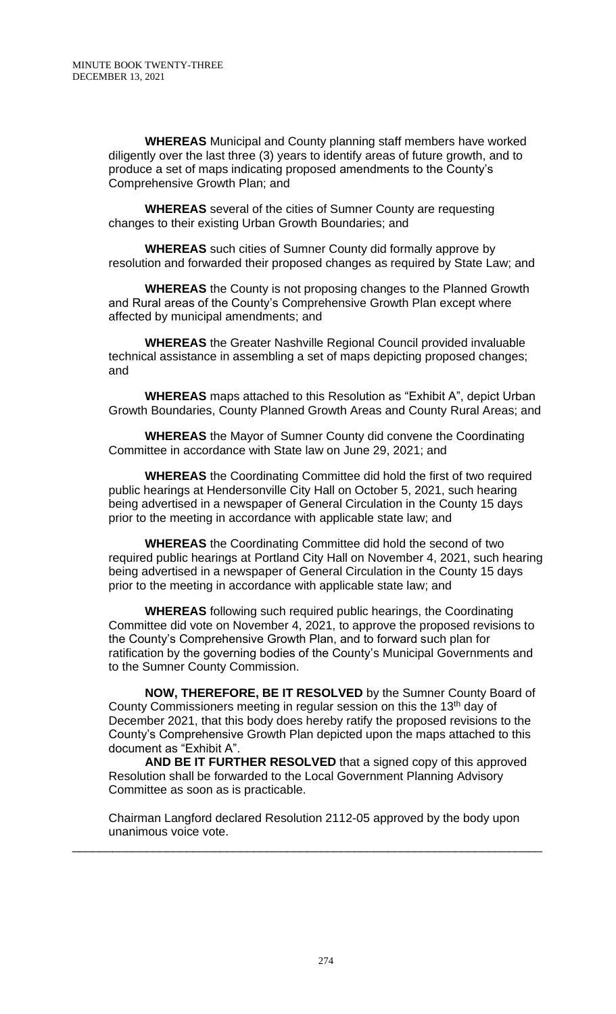**WHEREAS** Municipal and County planning staff members have worked diligently over the last three (3) years to identify areas of future growth, and to produce a set of maps indicating proposed amendments to the County's Comprehensive Growth Plan; and

**WHEREAS** several of the cities of Sumner County are requesting changes to their existing Urban Growth Boundaries; and

**WHEREAS** such cities of Sumner County did formally approve by resolution and forwarded their proposed changes as required by State Law; and

**WHEREAS** the County is not proposing changes to the Planned Growth and Rural areas of the County's Comprehensive Growth Plan except where affected by municipal amendments; and

**WHEREAS** the Greater Nashville Regional Council provided invaluable technical assistance in assembling a set of maps depicting proposed changes; and

**WHEREAS** maps attached to this Resolution as "Exhibit A", depict Urban Growth Boundaries, County Planned Growth Areas and County Rural Areas; and

**WHEREAS** the Mayor of Sumner County did convene the Coordinating Committee in accordance with State law on June 29, 2021; and

**WHEREAS** the Coordinating Committee did hold the first of two required public hearings at Hendersonville City Hall on October 5, 2021, such hearing being advertised in a newspaper of General Circulation in the County 15 days prior to the meeting in accordance with applicable state law; and

**WHEREAS** the Coordinating Committee did hold the second of two required public hearings at Portland City Hall on November 4, 2021, such hearing being advertised in a newspaper of General Circulation in the County 15 days prior to the meeting in accordance with applicable state law; and

**WHEREAS** following such required public hearings, the Coordinating Committee did vote on November 4, 2021, to approve the proposed revisions to the County's Comprehensive Growth Plan, and to forward such plan for ratification by the governing bodies of the County's Municipal Governments and to the Sumner County Commission.

**NOW, THEREFORE, BE IT RESOLVED** by the Sumner County Board of County Commissioners meeting in regular session on this the 13<sup>th</sup> day of December 2021, that this body does hereby ratify the proposed revisions to the County's Comprehensive Growth Plan depicted upon the maps attached to this document as "Exhibit A".

**AND BE IT FURTHER RESOLVED** that a signed copy of this approved Resolution shall be forwarded to the Local Government Planning Advisory Committee as soon as is practicable.

Chairman Langford declared Resolution 2112-05 approved by the body upon unanimous voice vote.

\_\_\_\_\_\_\_\_\_\_\_\_\_\_\_\_\_\_\_\_\_\_\_\_\_\_\_\_\_\_\_\_\_\_\_\_\_\_\_\_\_\_\_\_\_\_\_\_\_\_\_\_\_\_\_\_\_\_\_\_\_\_\_\_\_\_\_\_\_\_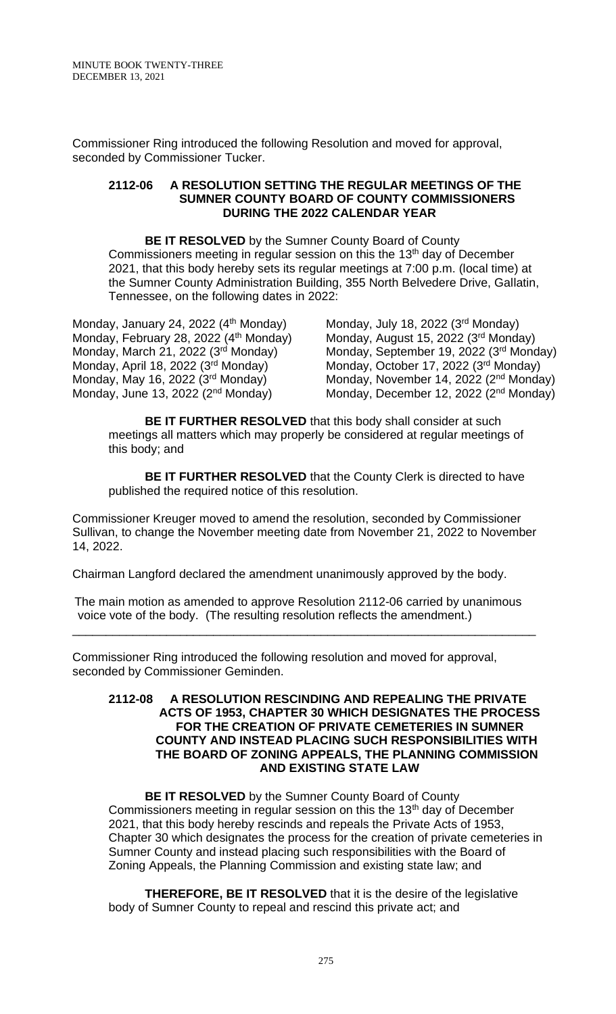Commissioner Ring introduced the following Resolution and moved for approval, seconded by Commissioner Tucker.

#### **2112-06 A RESOLUTION SETTING THE REGULAR MEETINGS OF THE SUMNER COUNTY BOARD OF COUNTY COMMISSIONERS DURING THE 2022 CALENDAR YEAR**

**BE IT RESOLVED** by the Sumner County Board of County Commissioners meeting in regular session on this the 13<sup>th</sup> day of December 2021, that this body hereby sets its regular meetings at 7:00 p.m. (local time) at the Sumner County Administration Building, 355 North Belvedere Drive, Gallatin, Tennessee, on the following dates in 2022:

Monday, January 24, 2022 (4<sup>th</sup> Monday) Monday, July 18, 2022 (3<sup>rd</sup> Monday)<br>Monday, February 28, 2022 (4<sup>th</sup> Monday) Monday, August 15, 2022 (3<sup>rd</sup> Monday) Monday, February 28, 2022 (4<sup>th</sup> Monday) Monday, March 21, 2022  $(3<sup>rd</sup>$  Monday) Monday, April 18, 2022 (3rd Monday) Monday, May 16, 2022 (3rd Monday) Monday, June 13, 2022 (2<sup>nd</sup> Monday)

<sup>rd</sup> Monday) Monday, September 19, 2022 (3<sup>rd</sup> Monday) Monday, October 17, 2022 (3rd Monday) <sup>rd</sup> Monday) Monday, November 14, 2022 (2<sup>nd</sup> Monday) <sup>nd</sup> Monday) Monday, December 12, 2022 (2<sup>nd</sup> Monday)

**BE IT FURTHER RESOLVED** that this body shall consider at such meetings all matters which may properly be considered at regular meetings of this body; and

**BE IT FURTHER RESOLVED** that the County Clerk is directed to have published the required notice of this resolution.

Commissioner Kreuger moved to amend the resolution, seconded by Commissioner Sullivan, to change the November meeting date from November 21, 2022 to November 14, 2022.

Chairman Langford declared the amendment unanimously approved by the body.

 The main motion as amended to approve Resolution 2112-06 carried by unanimous voice vote of the body. (The resulting resolution reflects the amendment.)

\_\_\_\_\_\_\_\_\_\_\_\_\_\_\_\_\_\_\_\_\_\_\_\_\_\_\_\_\_\_\_\_\_\_\_\_\_\_\_\_\_\_\_\_\_\_\_\_\_\_\_\_\_\_\_\_\_\_\_\_\_\_\_\_\_\_\_\_\_

Commissioner Ring introduced the following resolution and moved for approval, seconded by Commissioner Geminden.

#### **2112-08 A RESOLUTION RESCINDING AND REPEALING THE PRIVATE ACTS OF 1953, CHAPTER 30 WHICH DESIGNATES THE PROCESS FOR THE CREATION OF PRIVATE CEMETERIES IN SUMNER COUNTY AND INSTEAD PLACING SUCH RESPONSIBILITIES WITH THE BOARD OF ZONING APPEALS, THE PLANNING COMMISSION AND EXISTING STATE LAW**

**BE IT RESOLVED** by the Sumner County Board of County Commissioners meeting in regular session on this the 13<sup>th</sup> day of December 2021, that this body hereby rescinds and repeals the Private Acts of 1953, Chapter 30 which designates the process for the creation of private cemeteries in Sumner County and instead placing such responsibilities with the Board of Zoning Appeals, the Planning Commission and existing state law; and

**THEREFORE, BE IT RESOLVED** that it is the desire of the legislative body of Sumner County to repeal and rescind this private act; and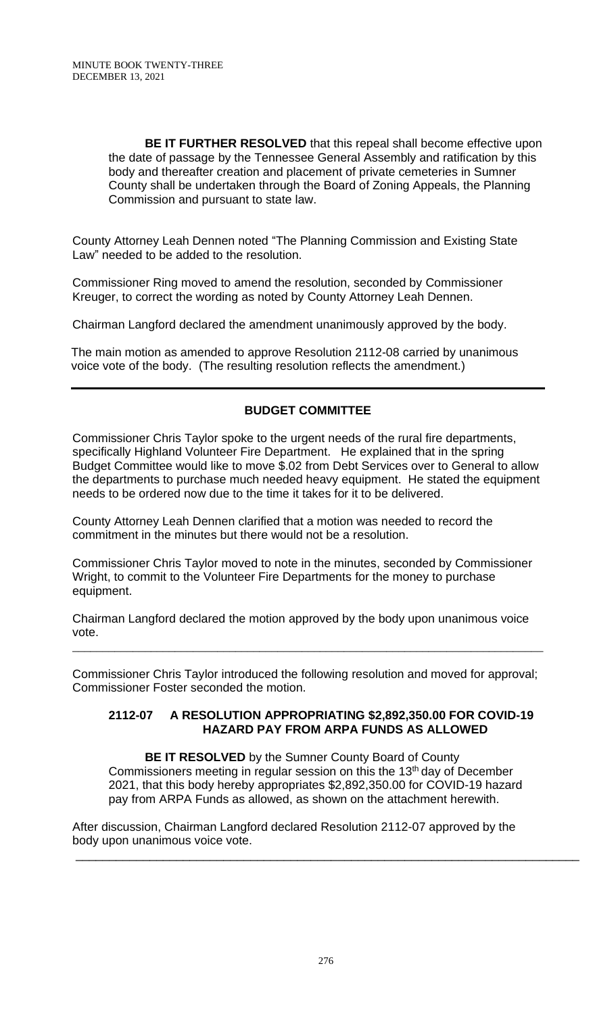**BE IT FURTHER RESOLVED** that this repeal shall become effective upon the date of passage by the Tennessee General Assembly and ratification by this body and thereafter creation and placement of private cemeteries in Sumner County shall be undertaken through the Board of Zoning Appeals, the Planning Commission and pursuant to state law.

County Attorney Leah Dennen noted "The Planning Commission and Existing State Law" needed to be added to the resolution.

Commissioner Ring moved to amend the resolution, seconded by Commissioner Kreuger, to correct the wording as noted by County Attorney Leah Dennen.

Chairman Langford declared the amendment unanimously approved by the body.

 The main motion as amended to approve Resolution 2112-08 carried by unanimous voice vote of the body. (The resulting resolution reflects the amendment.)

# **BUDGET COMMITTEE**

Commissioner Chris Taylor spoke to the urgent needs of the rural fire departments, specifically Highland Volunteer Fire Department. He explained that in the spring Budget Committee would like to move \$.02 from Debt Services over to General to allow the departments to purchase much needed heavy equipment. He stated the equipment needs to be ordered now due to the time it takes for it to be delivered.

County Attorney Leah Dennen clarified that a motion was needed to record the commitment in the minutes but there would not be a resolution.

Commissioner Chris Taylor moved to note in the minutes, seconded by Commissioner Wright, to commit to the Volunteer Fire Departments for the money to purchase equipment.

Chairman Langford declared the motion approved by the body upon unanimous voice vote.

Commissioner Chris Taylor introduced the following resolution and moved for approval; Commissioner Foster seconded the motion.

\_\_\_\_\_\_\_\_\_\_\_\_\_\_\_\_\_\_\_\_\_\_\_\_\_\_\_\_\_\_\_\_\_\_\_\_\_\_\_\_\_\_\_\_\_\_\_\_\_\_\_\_\_\_\_\_\_\_\_\_\_\_\_\_\_\_\_\_\_\_\_\_\_\_\_\_\_\_

### **2112-07 A RESOLUTION APPROPRIATING \$2,892,350.00 FOR COVID-19 HAZARD PAY FROM ARPA FUNDS AS ALLOWED**

**BE IT RESOLVED** by the Sumner County Board of County Commissioners meeting in regular session on this the 13<sup>th</sup> day of December 2021, that this body hereby appropriates \$2,892,350.00 for COVID-19 hazard pay from ARPA Funds as allowed, as shown on the attachment herewith.

After discussion, Chairman Langford declared Resolution 2112-07 approved by the body upon unanimous voice vote.

\_\_\_\_\_\_\_\_\_\_\_\_\_\_\_\_\_\_\_\_\_\_\_\_\_\_\_\_\_\_\_\_\_\_\_\_\_\_\_\_\_\_\_\_\_\_\_\_\_\_\_\_\_\_\_\_\_\_\_\_\_\_\_\_\_\_\_\_\_\_\_\_\_\_\_